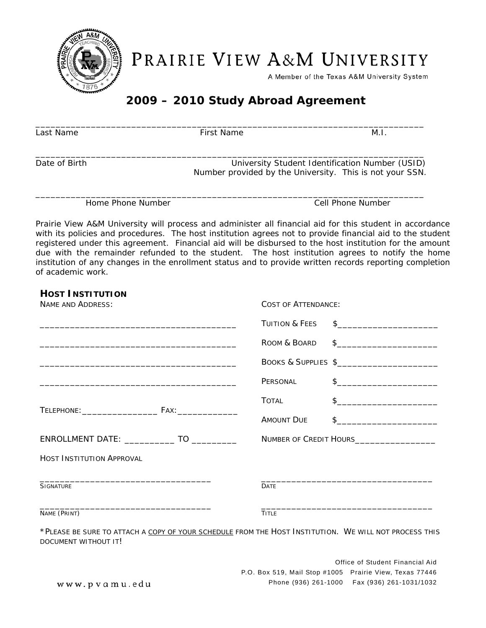

PRAIRIE VIEW A&M UNIVERSITY

A Member of the Texas A&M University System

## **2009 – 2010 Study Abroad Agreement**

| Last Name         | First Name                                                                                                  | M.I.              |
|-------------------|-------------------------------------------------------------------------------------------------------------|-------------------|
| Date of Birth     | University Student Identification Number (USID)<br>Number provided by the University. This is not your SSN. |                   |
| Home Phone Number |                                                                                                             | Cell Phone Number |

Prairie View A&M University will process and administer all financial aid for this student in accordance with its policies and procedures. The host institution agrees not to provide financial aid to the student registered under this agreement. Financial aid will be disbursed to the host institution for the amount due with the remainder refunded to the student. The host institution agrees to notify the home institution of any changes in the enrollment status and to provide written records reporting completion of academic work.

## **HOST INSTITUTION**  *NAME AND ADDRESS: COST OF ATTENDANCE:*  \_\_\_\_\_\_\_\_\_\_\_\_\_\_\_\_\_\_\_\_\_\_\_\_\_\_\_\_\_\_\_\_\_\_\_\_\_\_\_ TUITION & FEES \$\_\_\_\_\_\_\_\_\_\_\_\_\_\_\_\_\_\_\_\_ ROOM & BOARD \$ \_\_\_\_\_\_\_\_\_\_\_\_\_\_\_\_\_\_\_\_\_\_\_\_\_\_\_\_\_\_\_\_\_\_\_\_\_\_\_ BOOKS & SUPPLIES \$\_\_\_\_\_\_\_\_\_\_\_\_\_\_\_\_\_\_\_\_ PERSONAL \$ TOTAL \$ TELEPHONE:\_\_\_\_\_\_\_\_\_\_\_\_\_\_\_ FAX:\_\_\_\_\_\_\_\_\_\_\_\_ AMOUNT DUE \$ ENROLLMENT DATE: \_\_\_\_\_\_\_\_\_\_\_\_ TO \_\_\_\_\_\_\_\_\_\_\_\_\_\_ NUMBER OF CREDIT HOURS\_\_\_\_\_\_\_\_\_\_ *HOST INSTITUTION APPROVAL* \_\_\_\_\_\_\_\_\_\_\_\_\_\_\_\_\_\_\_\_\_\_\_\_\_\_\_\_\_\_\_\_\_\_ **SIGNATURE** \_\_\_\_\_\_\_\_\_\_\_\_\_\_\_\_\_\_\_\_\_\_\_\_\_\_\_\_\_\_\_\_\_\_ DATE \_\_\_\_\_\_\_\_\_\_\_\_\_\_\_\_\_\_\_\_\_\_\_\_\_\_\_\_\_\_\_\_\_\_ NAME (PRINT) \_\_\_\_\_\_\_\_\_\_\_\_\_\_\_\_\_\_\_\_\_\_\_\_\_\_\_\_\_\_\_\_\_\_ TITLE

\*PLEASE BE SURE TO ATTACH A COPY OF YOUR SCHEDULE FROM THE HOST INSTITUTION. WE WILL NOT PROCESS THIS DOCUMENT WITHOUT IT!